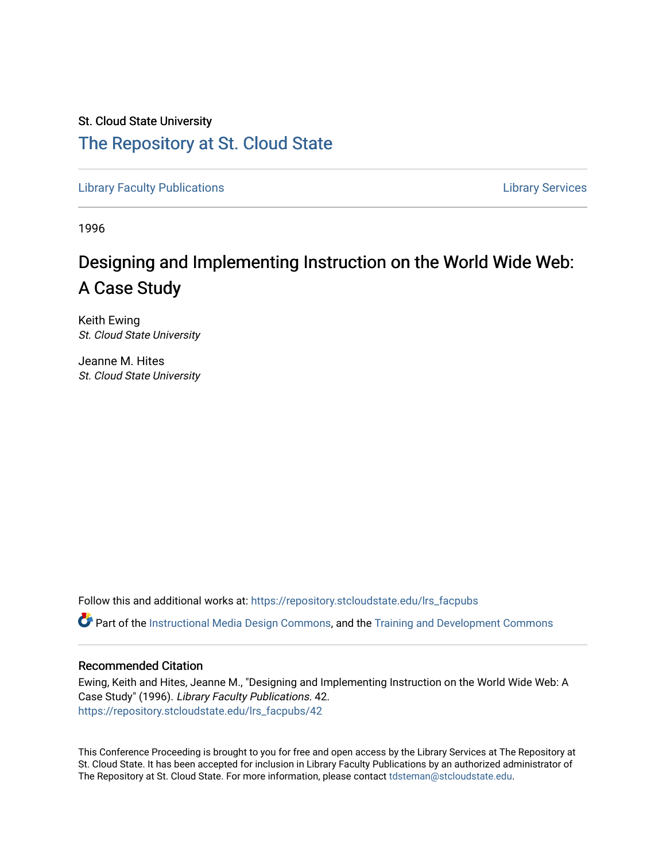# St. Cloud State University [The Repository at St. Cloud State](https://repository.stcloudstate.edu/)

[Library Faculty Publications](https://repository.stcloudstate.edu/lrs_facpubs) [Library Services](https://repository.stcloudstate.edu/ls) 

1996

# Designing and Implementing Instruction on the World Wide Web: A Case Study

Keith Ewing St. Cloud State University

Jeanne M. Hites St. Cloud State University

Follow this and additional works at: [https://repository.stcloudstate.edu/lrs\\_facpubs](https://repository.stcloudstate.edu/lrs_facpubs?utm_source=repository.stcloudstate.edu%2Flrs_facpubs%2F42&utm_medium=PDF&utm_campaign=PDFCoverPages) 

Part of the [Instructional Media Design Commons](http://network.bepress.com/hgg/discipline/795?utm_source=repository.stcloudstate.edu%2Flrs_facpubs%2F42&utm_medium=PDF&utm_campaign=PDFCoverPages), and the [Training and Development Commons](http://network.bepress.com/hgg/discipline/1257?utm_source=repository.stcloudstate.edu%2Flrs_facpubs%2F42&utm_medium=PDF&utm_campaign=PDFCoverPages) 

# Recommended Citation

Ewing, Keith and Hites, Jeanne M., "Designing and Implementing Instruction on the World Wide Web: A Case Study" (1996). Library Faculty Publications. 42. [https://repository.stcloudstate.edu/lrs\\_facpubs/42](https://repository.stcloudstate.edu/lrs_facpubs/42?utm_source=repository.stcloudstate.edu%2Flrs_facpubs%2F42&utm_medium=PDF&utm_campaign=PDFCoverPages)

This Conference Proceeding is brought to you for free and open access by the Library Services at The Repository at St. Cloud State. It has been accepted for inclusion in Library Faculty Publications by an authorized administrator of The Repository at St. Cloud State. For more information, please contact [tdsteman@stcloudstate.edu](mailto:tdsteman@stcloudstate.edu).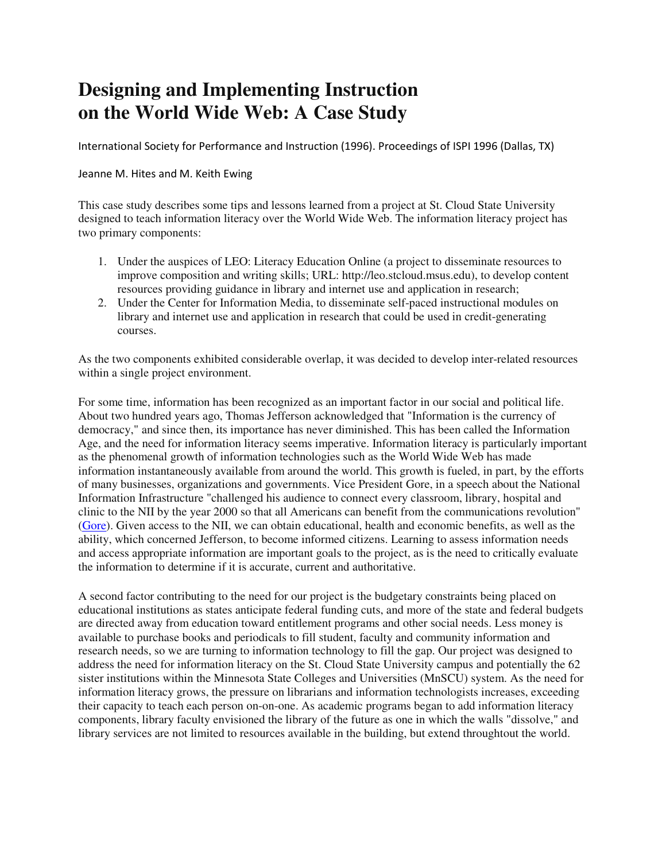# **Designing and Implementing Instruction on the World Wide Web: A Case Study**

International Society for Performance and Instruction (1996). Proceedings of ISPI 1996 (Dallas, TX)

Jeanne M. Hites and M. Keith Ewing

This case study describes some tips and lessons learned from a project at St. Cloud State University designed to teach information literacy over the World Wide Web. The information literacy project has two primary components:

- 1. Under the auspices of LEO: Literacy Education Online (a project to disseminate resources to improve composition and writing skills; URL: http://leo.stcloud.msus.edu), to develop content resources providing guidance in library and internet use and application in research;
- 2. Under the Center for Information Media, to disseminate self-paced instructional modules on library and internet use and application in research that could be used in credit-generating courses.

As the two components exhibited considerable overlap, it was decided to develop inter-related resources within a single project environment.

For some time, information has been recognized as an important factor in our social and political life. About two hundred years ago, Thomas Jefferson acknowledged that "Information is the currency of democracy," and since then, its importance has never diminished. This has been called the Information Age, and the need for information literacy seems imperative. Information literacy is particularly important as the phenomenal growth of information technologies such as the World Wide Web has made information instantaneously available from around the world. This growth is fueled, in part, by the efforts of many businesses, organizations and governments. Vice President Gore, in a speech about the National Information Infrastructure "challenged his audience to connect every classroom, library, hospital and clinic to the NII by the year 2000 so that all Americans can benefit from the communications revolution" (Gore). Given access to the NII, we can obtain educational, health and economic benefits, as well as the ability, which concerned Jefferson, to become informed citizens. Learning to assess information needs and access appropriate information are important goals to the project, as is the need to critically evaluate the information to determine if it is accurate, current and authoritative.

A second factor contributing to the need for our project is the budgetary constraints being placed on educational institutions as states anticipate federal funding cuts, and more of the state and federal budgets are directed away from education toward entitlement programs and other social needs. Less money is available to purchase books and periodicals to fill student, faculty and community information and research needs, so we are turning to information technology to fill the gap. Our project was designed to address the need for information literacy on the St. Cloud State University campus and potentially the 62 sister institutions within the Minnesota State Colleges and Universities (MnSCU) system. As the need for information literacy grows, the pressure on librarians and information technologists increases, exceeding their capacity to teach each person on-on-one. As academic programs began to add information literacy components, library faculty envisioned the library of the future as one in which the walls "dissolve," and library services are not limited to resources available in the building, but extend throughtout the world.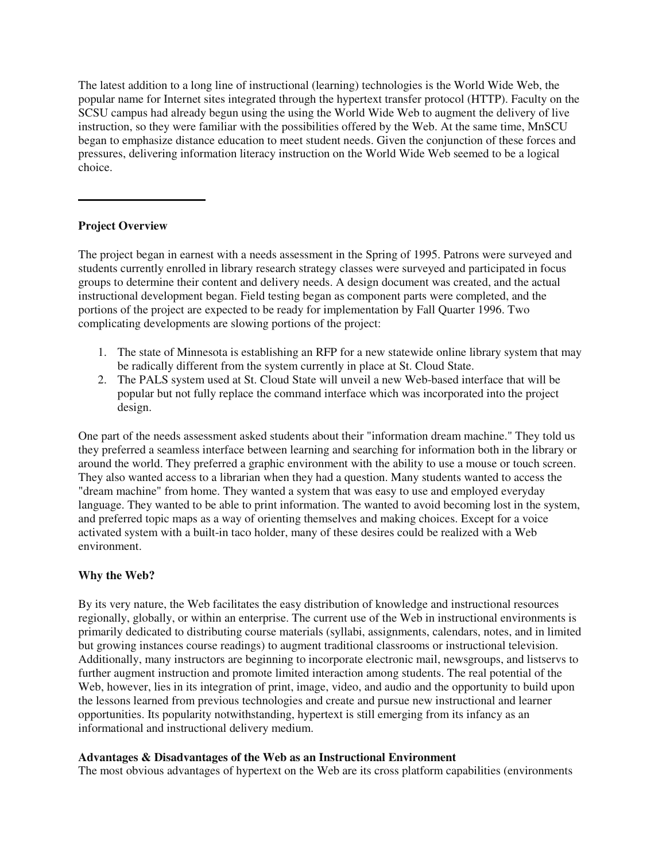The latest addition to a long line of instructional (learning) technologies is the World Wide Web, the popular name for Internet sites integrated through the hypertext transfer protocol (HTTP). Faculty on the SCSU campus had already begun using the using the World Wide Web to augment the delivery of live instruction, so they were familiar with the possibilities offered by the Web. At the same time, MnSCU began to emphasize distance education to meet student needs. Given the conjunction of these forces and pressures, delivering information literacy instruction on the World Wide Web seemed to be a logical choice.

# **Project Overview**

The project began in earnest with a needs assessment in the Spring of 1995. Patrons were surveyed and students currently enrolled in library research strategy classes were surveyed and participated in focus groups to determine their content and delivery needs. A design document was created, and the actual instructional development began. Field testing began as component parts were completed, and the portions of the project are expected to be ready for implementation by Fall Quarter 1996. Two complicating developments are slowing portions of the project:

- 1. The state of Minnesota is establishing an RFP for a new statewide online library system that may be radically different from the system currently in place at St. Cloud State.
- 2. The PALS system used at St. Cloud State will unveil a new Web-based interface that will be popular but not fully replace the command interface which was incorporated into the project design.

One part of the needs assessment asked students about their "information dream machine." They told us they preferred a seamless interface between learning and searching for information both in the library or around the world. They preferred a graphic environment with the ability to use a mouse or touch screen. They also wanted access to a librarian when they had a question. Many students wanted to access the "dream machine" from home. They wanted a system that was easy to use and employed everyday language. They wanted to be able to print information. The wanted to avoid becoming lost in the system, and preferred topic maps as a way of orienting themselves and making choices. Except for a voice activated system with a built-in taco holder, many of these desires could be realized with a Web environment.

# **Why the Web?**

By its very nature, the Web facilitates the easy distribution of knowledge and instructional resources regionally, globally, or within an enterprise. The current use of the Web in instructional environments is primarily dedicated to distributing course materials (syllabi, assignments, calendars, notes, and in limited but growing instances course readings) to augment traditional classrooms or instructional television. Additionally, many instructors are beginning to incorporate electronic mail, newsgroups, and listservs to further augment instruction and promote limited interaction among students. The real potential of the Web, however, lies in its integration of print, image, video, and audio and the opportunity to build upon the lessons learned from previous technologies and create and pursue new instructional and learner opportunities. Its popularity notwithstanding, hypertext is still emerging from its infancy as an informational and instructional delivery medium.

#### **Advantages & Disadvantages of the Web as an Instructional Environment**

The most obvious advantages of hypertext on the Web are its cross platform capabilities (environments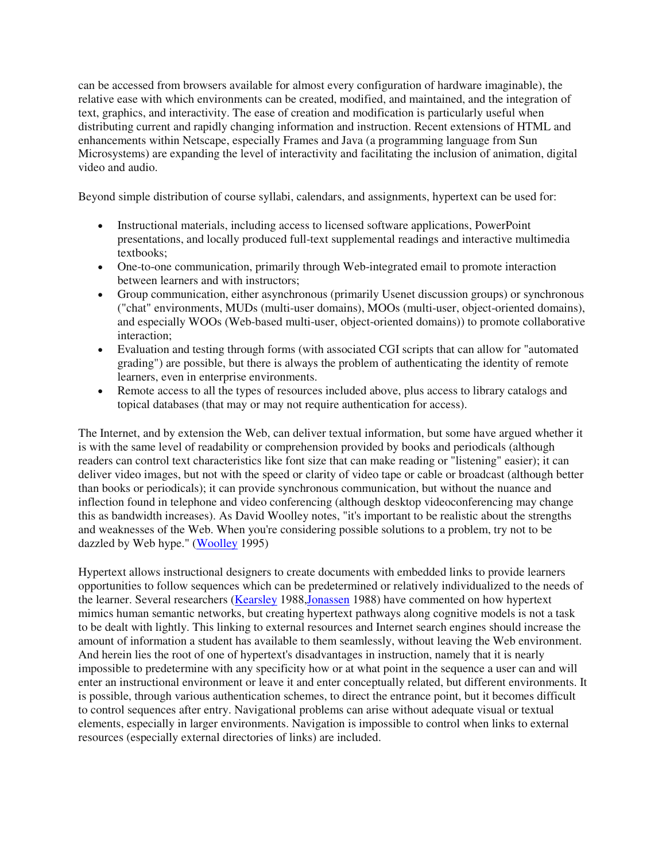can be accessed from browsers available for almost every configuration of hardware imaginable), the relative ease with which environments can be created, modified, and maintained, and the integration of text, graphics, and interactivity. The ease of creation and modification is particularly useful when distributing current and rapidly changing information and instruction. Recent extensions of HTML and enhancements within Netscape, especially Frames and Java (a programming language from Sun Microsystems) are expanding the level of interactivity and facilitating the inclusion of animation, digital video and audio.

Beyond simple distribution of course syllabi, calendars, and assignments, hypertext can be used for:

- Instructional materials, including access to licensed software applications, PowerPoint presentations, and locally produced full-text supplemental readings and interactive multimedia textbooks;
- One-to-one communication, primarily through Web-integrated email to promote interaction between learners and with instructors;
- Group communication, either asynchronous (primarily Usenet discussion groups) or synchronous ("chat" environments, MUDs (multi-user domains), MOOs (multi-user, object-oriented domains), and especially WOOs (Web-based multi-user, object-oriented domains)) to promote collaborative interaction;
- Evaluation and testing through forms (with associated CGI scripts that can allow for "automated grading") are possible, but there is always the problem of authenticating the identity of remote learners, even in enterprise environments.
- Remote access to all the types of resources included above, plus access to library catalogs and topical databases (that may or may not require authentication for access).

The Internet, and by extension the Web, can deliver textual information, but some have argued whether it is with the same level of readability or comprehension provided by books and periodicals (although readers can control text characteristics like font size that can make reading or "listening" easier); it can deliver video images, but not with the speed or clarity of video tape or cable or broadcast (although better than books or periodicals); it can provide synchronous communication, but without the nuance and inflection found in telephone and video conferencing (although desktop videoconferencing may change this as bandwidth increases). As David Woolley notes, "it's important to be realistic about the strengths and weaknesses of the Web. When you're considering possible solutions to a problem, try not to be dazzled by Web hype." (Woolley 1995)

Hypertext allows instructional designers to create documents with embedded links to provide learners opportunities to follow sequences which can be predetermined or relatively individualized to the needs of the learner. Several researchers (Kearsley 1988,Jonassen 1988) have commented on how hypertext mimics human semantic networks, but creating hypertext pathways along cognitive models is not a task to be dealt with lightly. This linking to external resources and Internet search engines should increase the amount of information a student has available to them seamlessly, without leaving the Web environment. And herein lies the root of one of hypertext's disadvantages in instruction, namely that it is nearly impossible to predetermine with any specificity how or at what point in the sequence a user can and will enter an instructional environment or leave it and enter conceptually related, but different environments. It is possible, through various authentication schemes, to direct the entrance point, but it becomes difficult to control sequences after entry. Navigational problems can arise without adequate visual or textual elements, especially in larger environments. Navigation is impossible to control when links to external resources (especially external directories of links) are included.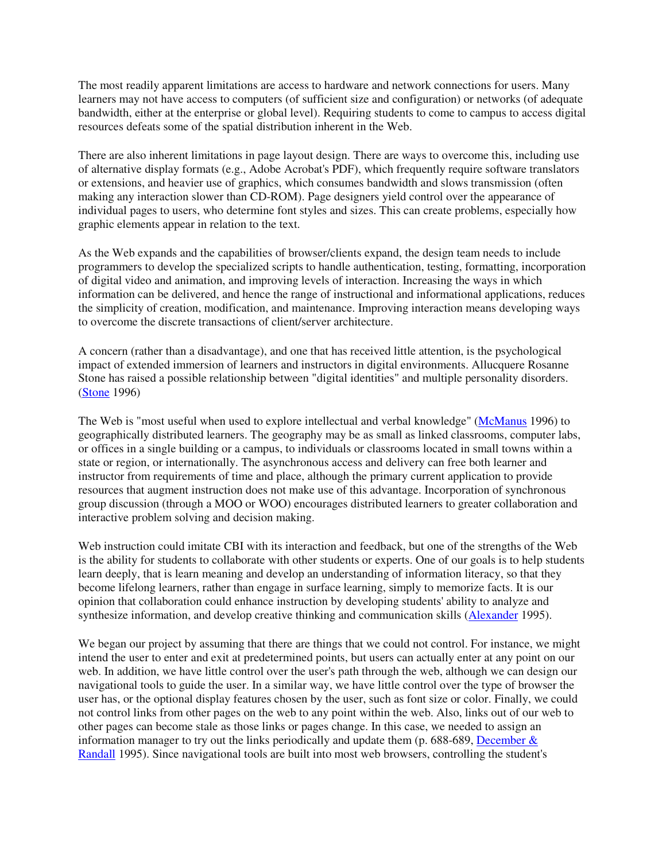The most readily apparent limitations are access to hardware and network connections for users. Many learners may not have access to computers (of sufficient size and configuration) or networks (of adequate bandwidth, either at the enterprise or global level). Requiring students to come to campus to access digital resources defeats some of the spatial distribution inherent in the Web.

There are also inherent limitations in page layout design. There are ways to overcome this, including use of alternative display formats (e.g., Adobe Acrobat's PDF), which frequently require software translators or extensions, and heavier use of graphics, which consumes bandwidth and slows transmission (often making any interaction slower than CD-ROM). Page designers yield control over the appearance of individual pages to users, who determine font styles and sizes. This can create problems, especially how graphic elements appear in relation to the text.

As the Web expands and the capabilities of browser/clients expand, the design team needs to include programmers to develop the specialized scripts to handle authentication, testing, formatting, incorporation of digital video and animation, and improving levels of interaction. Increasing the ways in which information can be delivered, and hence the range of instructional and informational applications, reduces the simplicity of creation, modification, and maintenance. Improving interaction means developing ways to overcome the discrete transactions of client/server architecture.

A concern (rather than a disadvantage), and one that has received little attention, is the psychological impact of extended immersion of learners and instructors in digital environments. Allucquere Rosanne Stone has raised a possible relationship between "digital identities" and multiple personality disorders. (Stone 1996)

The Web is "most useful when used to explore intellectual and verbal knowledge" (McManus 1996) to geographically distributed learners. The geography may be as small as linked classrooms, computer labs, or offices in a single building or a campus, to individuals or classrooms located in small towns within a state or region, or internationally. The asynchronous access and delivery can free both learner and instructor from requirements of time and place, although the primary current application to provide resources that augment instruction does not make use of this advantage. Incorporation of synchronous group discussion (through a MOO or WOO) encourages distributed learners to greater collaboration and interactive problem solving and decision making.

Web instruction could imitate CBI with its interaction and feedback, but one of the strengths of the Web is the ability for students to collaborate with other students or experts. One of our goals is to help students learn deeply, that is learn meaning and develop an understanding of information literacy, so that they become lifelong learners, rather than engage in surface learning, simply to memorize facts. It is our opinion that collaboration could enhance instruction by developing students' ability to analyze and synthesize information, and develop creative thinking and communication skills (Alexander 1995).

We began our project by assuming that there are things that we could not control. For instance, we might intend the user to enter and exit at predetermined points, but users can actually enter at any point on our web. In addition, we have little control over the user's path through the web, although we can design our navigational tools to guide the user. In a similar way, we have little control over the type of browser the user has, or the optional display features chosen by the user, such as font size or color. Finally, we could not control links from other pages on the web to any point within the web. Also, links out of our web to other pages can become stale as those links or pages change. In this case, we needed to assign an information manager to try out the links periodically and update them (p. 688-689, December & Randall 1995). Since navigational tools are built into most web browsers, controlling the student's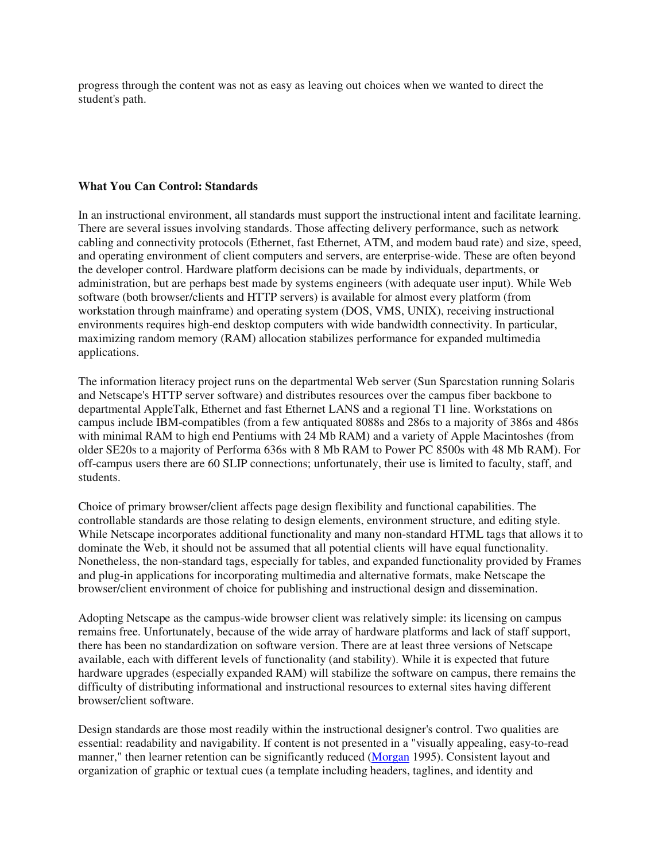progress through the content was not as easy as leaving out choices when we wanted to direct the student's path.

#### **What You Can Control: Standards**

In an instructional environment, all standards must support the instructional intent and facilitate learning. There are several issues involving standards. Those affecting delivery performance, such as network cabling and connectivity protocols (Ethernet, fast Ethernet, ATM, and modem baud rate) and size, speed, and operating environment of client computers and servers, are enterprise-wide. These are often beyond the developer control. Hardware platform decisions can be made by individuals, departments, or administration, but are perhaps best made by systems engineers (with adequate user input). While Web software (both browser/clients and HTTP servers) is available for almost every platform (from workstation through mainframe) and operating system (DOS, VMS, UNIX), receiving instructional environments requires high-end desktop computers with wide bandwidth connectivity. In particular, maximizing random memory (RAM) allocation stabilizes performance for expanded multimedia applications.

The information literacy project runs on the departmental Web server (Sun Sparcstation running Solaris and Netscape's HTTP server software) and distributes resources over the campus fiber backbone to departmental AppleTalk, Ethernet and fast Ethernet LANS and a regional T1 line. Workstations on campus include IBM-compatibles (from a few antiquated 8088s and 286s to a majority of 386s and 486s with minimal RAM to high end Pentiums with 24 Mb RAM) and a variety of Apple Macintoshes (from older SE20s to a majority of Performa 636s with 8 Mb RAM to Power PC 8500s with 48 Mb RAM). For off-campus users there are 60 SLIP connections; unfortunately, their use is limited to faculty, staff, and students.

Choice of primary browser/client affects page design flexibility and functional capabilities. The controllable standards are those relating to design elements, environment structure, and editing style. While Netscape incorporates additional functionality and many non-standard HTML tags that allows it to dominate the Web, it should not be assumed that all potential clients will have equal functionality. Nonetheless, the non-standard tags, especially for tables, and expanded functionality provided by Frames and plug-in applications for incorporating multimedia and alternative formats, make Netscape the browser/client environment of choice for publishing and instructional design and dissemination.

Adopting Netscape as the campus-wide browser client was relatively simple: its licensing on campus remains free. Unfortunately, because of the wide array of hardware platforms and lack of staff support, there has been no standardization on software version. There are at least three versions of Netscape available, each with different levels of functionality (and stability). While it is expected that future hardware upgrades (especially expanded RAM) will stabilize the software on campus, there remains the difficulty of distributing informational and instructional resources to external sites having different browser/client software.

Design standards are those most readily within the instructional designer's control. Two qualities are essential: readability and navigability. If content is not presented in a "visually appealing, easy-to-read manner," then learner retention can be significantly reduced (Morgan 1995). Consistent layout and organization of graphic or textual cues (a template including headers, taglines, and identity and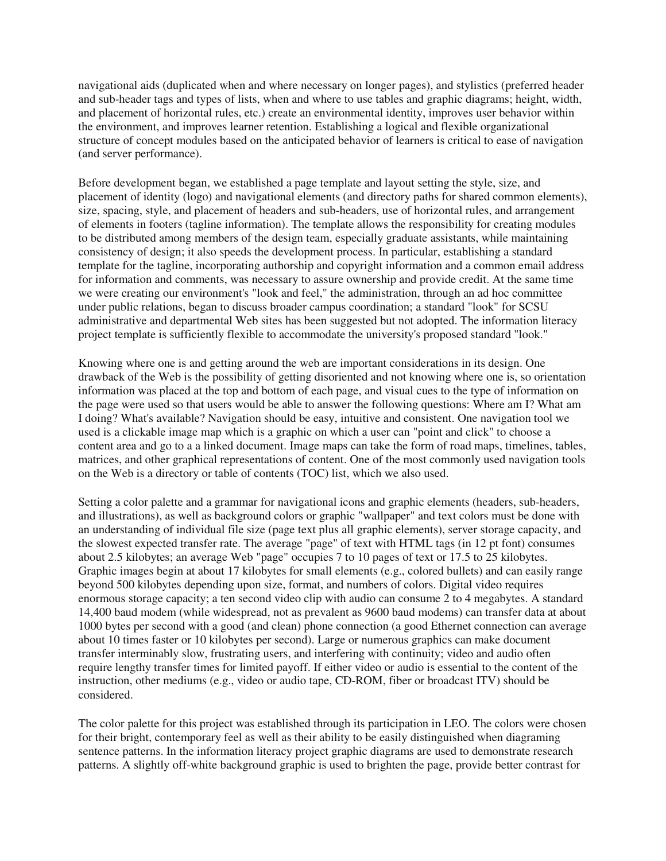navigational aids (duplicated when and where necessary on longer pages), and stylistics (preferred header and sub-header tags and types of lists, when and where to use tables and graphic diagrams; height, width, and placement of horizontal rules, etc.) create an environmental identity, improves user behavior within the environment, and improves learner retention. Establishing a logical and flexible organizational structure of concept modules based on the anticipated behavior of learners is critical to ease of navigation (and server performance).

Before development began, we established a page template and layout setting the style, size, and placement of identity (logo) and navigational elements (and directory paths for shared common elements), size, spacing, style, and placement of headers and sub-headers, use of horizontal rules, and arrangement of elements in footers (tagline information). The template allows the responsibility for creating modules to be distributed among members of the design team, especially graduate assistants, while maintaining consistency of design; it also speeds the development process. In particular, establishing a standard template for the tagline, incorporating authorship and copyright information and a common email address for information and comments, was necessary to assure ownership and provide credit. At the same time we were creating our environment's "look and feel," the administration, through an ad hoc committee under public relations, began to discuss broader campus coordination; a standard "look" for SCSU administrative and departmental Web sites has been suggested but not adopted. The information literacy project template is sufficiently flexible to accommodate the university's proposed standard "look."

Knowing where one is and getting around the web are important considerations in its design. One drawback of the Web is the possibility of getting disoriented and not knowing where one is, so orientation information was placed at the top and bottom of each page, and visual cues to the type of information on the page were used so that users would be able to answer the following questions: Where am I? What am I doing? What's available? Navigation should be easy, intuitive and consistent. One navigation tool we used is a clickable image map which is a graphic on which a user can "point and click" to choose a content area and go to a a linked document. Image maps can take the form of road maps, timelines, tables, matrices, and other graphical representations of content. One of the most commonly used navigation tools on the Web is a directory or table of contents (TOC) list, which we also used.

Setting a color palette and a grammar for navigational icons and graphic elements (headers, sub-headers, and illustrations), as well as background colors or graphic "wallpaper" and text colors must be done with an understanding of individual file size (page text plus all graphic elements), server storage capacity, and the slowest expected transfer rate. The average "page" of text with HTML tags (in 12 pt font) consumes about 2.5 kilobytes; an average Web "page" occupies 7 to 10 pages of text or 17.5 to 25 kilobytes. Graphic images begin at about 17 kilobytes for small elements (e.g., colored bullets) and can easily range beyond 500 kilobytes depending upon size, format, and numbers of colors. Digital video requires enormous storage capacity; a ten second video clip with audio can consume 2 to 4 megabytes. A standard 14,400 baud modem (while widespread, not as prevalent as 9600 baud modems) can transfer data at about 1000 bytes per second with a good (and clean) phone connection (a good Ethernet connection can average about 10 times faster or 10 kilobytes per second). Large or numerous graphics can make document transfer interminably slow, frustrating users, and interfering with continuity; video and audio often require lengthy transfer times for limited payoff. If either video or audio is essential to the content of the instruction, other mediums (e.g., video or audio tape, CD-ROM, fiber or broadcast ITV) should be considered.

The color palette for this project was established through its participation in LEO. The colors were chosen for their bright, contemporary feel as well as their ability to be easily distinguished when diagraming sentence patterns. In the information literacy project graphic diagrams are used to demonstrate research patterns. A slightly off-white background graphic is used to brighten the page, provide better contrast for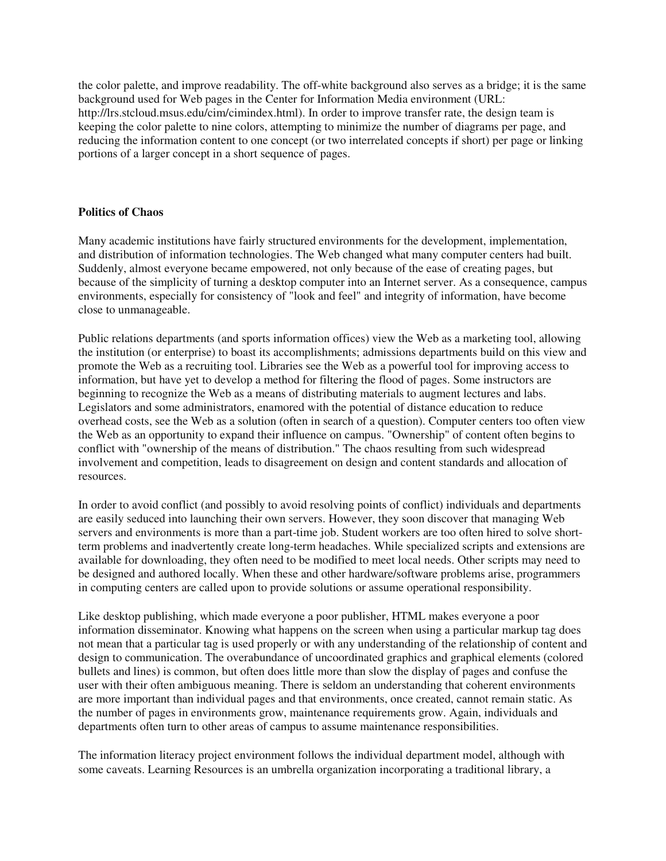the color palette, and improve readability. The off-white background also serves as a bridge; it is the same background used for Web pages in the Center for Information Media environment (URL: http://lrs.stcloud.msus.edu/cim/cimindex.html). In order to improve transfer rate, the design team is keeping the color palette to nine colors, attempting to minimize the number of diagrams per page, and reducing the information content to one concept (or two interrelated concepts if short) per page or linking portions of a larger concept in a short sequence of pages.

# **Politics of Chaos**

Many academic institutions have fairly structured environments for the development, implementation, and distribution of information technologies. The Web changed what many computer centers had built. Suddenly, almost everyone became empowered, not only because of the ease of creating pages, but because of the simplicity of turning a desktop computer into an Internet server. As a consequence, campus environments, especially for consistency of "look and feel" and integrity of information, have become close to unmanageable.

Public relations departments (and sports information offices) view the Web as a marketing tool, allowing the institution (or enterprise) to boast its accomplishments; admissions departments build on this view and promote the Web as a recruiting tool. Libraries see the Web as a powerful tool for improving access to information, but have yet to develop a method for filtering the flood of pages. Some instructors are beginning to recognize the Web as a means of distributing materials to augment lectures and labs. Legislators and some administrators, enamored with the potential of distance education to reduce overhead costs, see the Web as a solution (often in search of a question). Computer centers too often view the Web as an opportunity to expand their influence on campus. "Ownership" of content often begins to conflict with "ownership of the means of distribution." The chaos resulting from such widespread involvement and competition, leads to disagreement on design and content standards and allocation of resources.

In order to avoid conflict (and possibly to avoid resolving points of conflict) individuals and departments are easily seduced into launching their own servers. However, they soon discover that managing Web servers and environments is more than a part-time job. Student workers are too often hired to solve shortterm problems and inadvertently create long-term headaches. While specialized scripts and extensions are available for downloading, they often need to be modified to meet local needs. Other scripts may need to be designed and authored locally. When these and other hardware/software problems arise, programmers in computing centers are called upon to provide solutions or assume operational responsibility.

Like desktop publishing, which made everyone a poor publisher, HTML makes everyone a poor information disseminator. Knowing what happens on the screen when using a particular markup tag does not mean that a particular tag is used properly or with any understanding of the relationship of content and design to communication. The overabundance of uncoordinated graphics and graphical elements (colored bullets and lines) is common, but often does little more than slow the display of pages and confuse the user with their often ambiguous meaning. There is seldom an understanding that coherent environments are more important than individual pages and that environments, once created, cannot remain static. As the number of pages in environments grow, maintenance requirements grow. Again, individuals and departments often turn to other areas of campus to assume maintenance responsibilities.

The information literacy project environment follows the individual department model, although with some caveats. Learning Resources is an umbrella organization incorporating a traditional library, a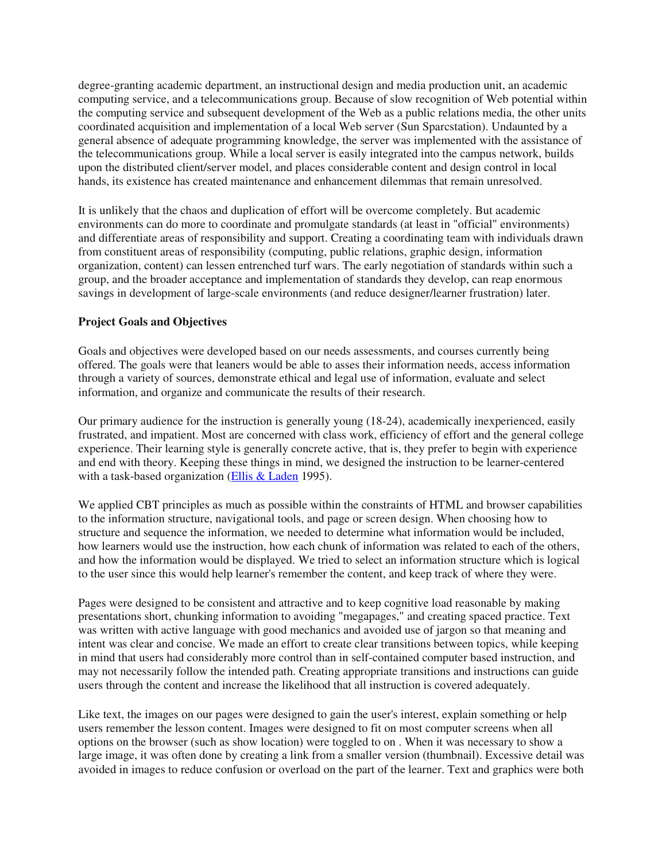degree-granting academic department, an instructional design and media production unit, an academic computing service, and a telecommunications group. Because of slow recognition of Web potential within the computing service and subsequent development of the Web as a public relations media, the other units coordinated acquisition and implementation of a local Web server (Sun Sparcstation). Undaunted by a general absence of adequate programming knowledge, the server was implemented with the assistance of the telecommunications group. While a local server is easily integrated into the campus network, builds upon the distributed client/server model, and places considerable content and design control in local hands, its existence has created maintenance and enhancement dilemmas that remain unresolved.

It is unlikely that the chaos and duplication of effort will be overcome completely. But academic environments can do more to coordinate and promulgate standards (at least in "official" environments) and differentiate areas of responsibility and support. Creating a coordinating team with individuals drawn from constituent areas of responsibility (computing, public relations, graphic design, information organization, content) can lessen entrenched turf wars. The early negotiation of standards within such a group, and the broader acceptance and implementation of standards they develop, can reap enormous savings in development of large-scale environments (and reduce designer/learner frustration) later.

# **Project Goals and Objectives**

Goals and objectives were developed based on our needs assessments, and courses currently being offered. The goals were that leaners would be able to asses their information needs, access information through a variety of sources, demonstrate ethical and legal use of information, evaluate and select information, and organize and communicate the results of their research.

Our primary audience for the instruction is generally young (18-24), academically inexperienced, easily frustrated, and impatient. Most are concerned with class work, efficiency of effort and the general college experience. Their learning style is generally concrete active, that is, they prefer to begin with experience and end with theory. Keeping these things in mind, we designed the instruction to be learner-centered with a task-based organization (Ellis & Laden 1995).

We applied CBT principles as much as possible within the constraints of HTML and browser capabilities to the information structure, navigational tools, and page or screen design. When choosing how to structure and sequence the information, we needed to determine what information would be included, how learners would use the instruction, how each chunk of information was related to each of the others, and how the information would be displayed. We tried to select an information structure which is logical to the user since this would help learner's remember the content, and keep track of where they were.

Pages were designed to be consistent and attractive and to keep cognitive load reasonable by making presentations short, chunking information to avoiding "megapages," and creating spaced practice. Text was written with active language with good mechanics and avoided use of jargon so that meaning and intent was clear and concise. We made an effort to create clear transitions between topics, while keeping in mind that users had considerably more control than in self-contained computer based instruction, and may not necessarily follow the intended path. Creating appropriate transitions and instructions can guide users through the content and increase the likelihood that all instruction is covered adequately.

Like text, the images on our pages were designed to gain the user's interest, explain something or help users remember the lesson content. Images were designed to fit on most computer screens when all options on the browser (such as show location) were toggled to on . When it was necessary to show a large image, it was often done by creating a link from a smaller version (thumbnail). Excessive detail was avoided in images to reduce confusion or overload on the part of the learner. Text and graphics were both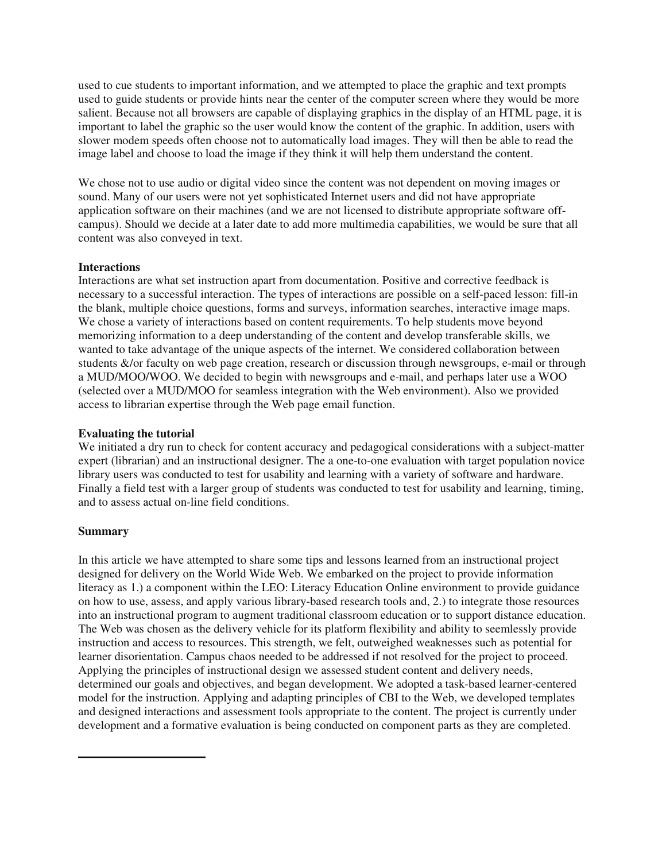used to cue students to important information, and we attempted to place the graphic and text prompts used to guide students or provide hints near the center of the computer screen where they would be more salient. Because not all browsers are capable of displaying graphics in the display of an HTML page, it is important to label the graphic so the user would know the content of the graphic. In addition, users with slower modem speeds often choose not to automatically load images. They will then be able to read the image label and choose to load the image if they think it will help them understand the content.

We chose not to use audio or digital video since the content was not dependent on moving images or sound. Many of our users were not yet sophisticated Internet users and did not have appropriate application software on their machines (and we are not licensed to distribute appropriate software offcampus). Should we decide at a later date to add more multimedia capabilities, we would be sure that all content was also conveyed in text.

# **Interactions**

Interactions are what set instruction apart from documentation. Positive and corrective feedback is necessary to a successful interaction. The types of interactions are possible on a self-paced lesson: fill-in the blank, multiple choice questions, forms and surveys, information searches, interactive image maps. We chose a variety of interactions based on content requirements. To help students move beyond memorizing information to a deep understanding of the content and develop transferable skills, we wanted to take advantage of the unique aspects of the internet. We considered collaboration between students &/or faculty on web page creation, research or discussion through newsgroups, e-mail or through a MUD/MOO/WOO. We decided to begin with newsgroups and e-mail, and perhaps later use a WOO (selected over a MUD/MOO for seamless integration with the Web environment). Also we provided access to librarian expertise through the Web page email function.

# **Evaluating the tutorial**

We initiated a dry run to check for content accuracy and pedagogical considerations with a subject-matter expert (librarian) and an instructional designer. The a one-to-one evaluation with target population novice library users was conducted to test for usability and learning with a variety of software and hardware. Finally a field test with a larger group of students was conducted to test for usability and learning, timing, and to assess actual on-line field conditions.

# **Summary**

In this article we have attempted to share some tips and lessons learned from an instructional project designed for delivery on the World Wide Web. We embarked on the project to provide information literacy as 1.) a component within the LEO: Literacy Education Online environment to provide guidance on how to use, assess, and apply various library-based research tools and, 2.) to integrate those resources into an instructional program to augment traditional classroom education or to support distance education. The Web was chosen as the delivery vehicle for its platform flexibility and ability to seemlessly provide instruction and access to resources. This strength, we felt, outweighed weaknesses such as potential for learner disorientation. Campus chaos needed to be addressed if not resolved for the project to proceed. Applying the principles of instructional design we assessed student content and delivery needs, determined our goals and objectives, and began development. We adopted a task-based learner-centered model for the instruction. Applying and adapting principles of CBI to the Web, we developed templates and designed interactions and assessment tools appropriate to the content. The project is currently under development and a formative evaluation is being conducted on component parts as they are completed.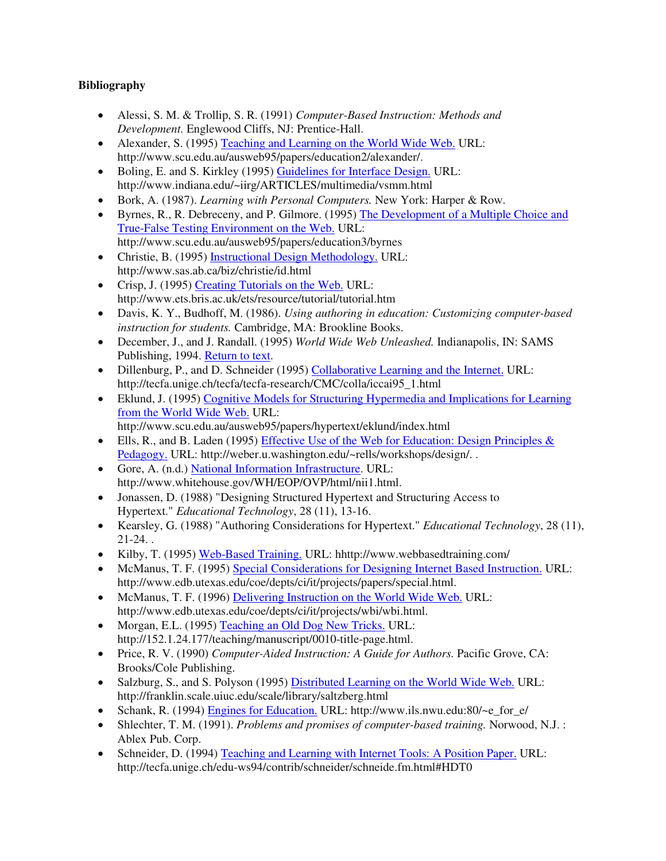# **Bibliography**

- Alessi, S. M. & Trollip, S. R. (1991) *Computer-Based Instruction: Methods and Development.* Englewood Cliffs, NJ: Prentice-Hall.
- Alexander, S. (1995) Teaching and Learning on the World Wide Web. URL: http://www.scu.edu.au/ausweb95/papers/education2/alexander/.
- Boling, E. and S. Kirkley (1995) Guidelines for Interface Design. URL: http://www.indiana.edu/~iirg/ARTICLES/multimedia/vsmm.html
- Bork, A. (1987). *Learning with Personal Computers.* New York: Harper & Row.
- Byrnes, R., R. Debreceny, and P. Gilmore. (1995) The Development of a Multiple Choice and True-False Testing Environment on the Web. URL: http://www.scu.edu.au/ausweb95/papers/education3/byrnes
- Christie, B. (1995) Instructional Design Methodology. URL: http://www.sas.ab.ca/biz/christie/id.html
- Crisp, J. (1995) Creating Tutorials on the Web. URL: http://www.ets.bris.ac.uk/ets/resource/tutorial/tutorial.htm
- Davis, K. Y., Budhoff, M. (1986). *Using authoring in education: Customizing computer-based instruction for students.* Cambridge, MA: Brookline Books.
- December, J., and J. Randall. (1995) *World Wide Web Unleashed.* Indianapolis, IN: SAMS Publishing, 1994. Return to text.
- Dillenburg, P., and D. Schneider (1995) Collaborative Learning and the Internet. URL: http://tecfa.unige.ch/tecfa/tecfa-research/CMC/colla/iccai95\_1.html
- Eklund, J. (1995) Cognitive Models for Structuring Hypermedia and Implications for Learning from the World Wide Web. URL: http://www.scu.edu.au/ausweb95/papers/hypertext/eklund/index.html
- Ells, R., and B. Laden (1995) Effective Use of the Web for Education: Design Principles & Pedagogy. URL: http://weber.u.washington.edu/~rells/workshops/design/...
- Gore, A. (n.d.) National Information Infrastructure. URL: http://www.whitehouse.gov/WH/EOP/OVP/html/nii1.html.
- Jonassen, D. (1988) "Designing Structured Hypertext and Structuring Access to Hypertext." *Educational Technology*, 28 (11), 13-16.
- Kearsley, G. (1988) "Authoring Considerations for Hypertext." *Educational Technology*, 28 (11), 21-24. .
- Kilby, T. (1995) Web-Based Training. URL: hhttp://www.webbasedtraining.com/
- McManus, T. F. (1995) Special Considerations for Designing Internet Based Instruction. URL: http://www.edb.utexas.edu/coe/depts/ci/it/projects/papers/special.html.
- McManus, T. F. (1996) Delivering Instruction on the World Wide Web. URL: http://www.edb.utexas.edu/coe/depts/ci/it/projects/wbi/wbi.html.
- Morgan, E.L. (1995) Teaching an Old Dog New Tricks. URL: http://152.1.24.177/teaching/manuscript/0010-title-page.html.
- Price, R. V. (1990) *Computer-Aided Instruction: A Guide for Authors.* Pacific Grove, CA: Brooks/Cole Publishing.
- Salzburg, S., and S. Polyson (1995) Distributed Learning on the World Wide Web. URL: http://franklin.scale.uiuc.edu/scale/library/saltzberg.html
- Schank, R. (1994) Engines for Education. URL: http://www.ils.nwu.edu:80/~e\_for\_e/
- Shlechter, T. M. (1991). *Problems and promises of computer-based training.* Norwood, N.J. : Ablex Pub. Corp.
- Schneider, D. (1994) Teaching and Learning with Internet Tools: A Position Paper. URL: http://tecfa.unige.ch/edu-ws94/contrib/schneider/schneide.fm.html#HDT0